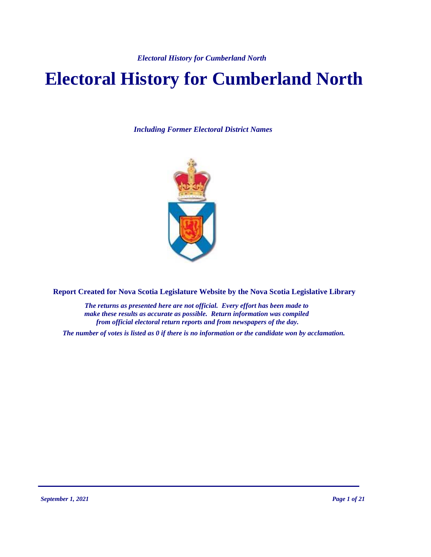# **Electoral History for Cumberland North**

*Including Former Electoral District Names*



**Report Created for Nova Scotia Legislature Website by the Nova Scotia Legislative Library**

*The returns as presented here are not official. Every effort has been made to make these results as accurate as possible. Return information was compiled from official electoral return reports and from newspapers of the day.*

*The number of votes is listed as 0 if there is no information or the candidate won by acclamation.*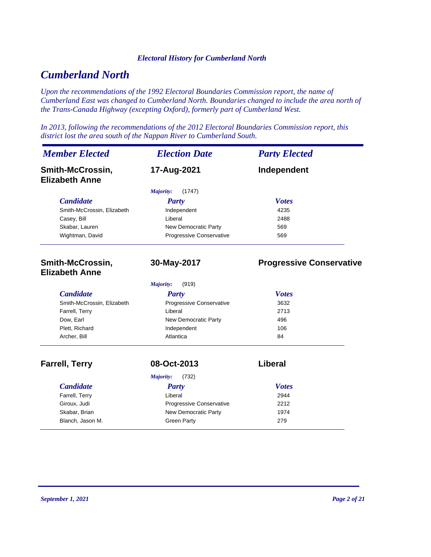# *Cumberland North*

*Upon the recommendations of the 1992 Electoral Boundaries Commission report, the name of Cumberland East was changed to Cumberland North. Boundaries changed to include the area north of the Trans-Canada Highway (excepting Oxford), formerly part of Cumberland West.*

*In 2013, following the recommendations of the 2012 Electoral Boundaries Commission report, this district lost the area south of the Nappan River to Cumberland South.*

| <b>Member Elected</b>                     | <b>Election Date</b>        | <b>Party Elected</b>            |
|-------------------------------------------|-----------------------------|---------------------------------|
| Smith-McCrossin,<br><b>Elizabeth Anne</b> | 17-Aug-2021                 | Independent                     |
|                                           | (1747)<br><b>Majority:</b>  |                                 |
| <b>Candidate</b>                          | <b>Party</b>                | <b>Votes</b>                    |
| Smith-McCrossin, Elizabeth                | Independent                 | 4235                            |
| Casey, Bill                               | Liberal                     | 2488                            |
| Skabar, Lauren                            | New Democratic Party        | 569                             |
| Wightman, David                           | Progressive Conservative    | 569                             |
| Smith-McCrossin,<br><b>Elizabeth Anne</b> | 30-May-2017                 | <b>Progressive Conservative</b> |
|                                           | (919)<br>Majority:          |                                 |
| <b>Candidate</b>                          | <b>Party</b>                | <b>Votes</b>                    |
| Smith-McCrossin, Elizabeth                | Progressive Conservative    | 3632                            |
| Farrell, Terry                            | Liberal                     | 2713                            |
| Dow, Earl                                 | New Democratic Party        | 496                             |
| Plett, Richard                            | Independent                 | 106                             |
| Archer, Bill                              | Atlantica                   | 84                              |
| <b>Farrell, Terry</b>                     | 08-Oct-2013                 | Liberal                         |
|                                           | (732)<br><b>Majority:</b>   |                                 |
| <b>Candidate</b>                          | <b>Party</b>                | <b>Votes</b>                    |
| Farrell, Terry                            | Liberal                     | 2944                            |
| Giroux, Judi                              | Progressive Conservative    | 2212                            |
| Skabar, Brian                             | <b>New Democratic Party</b> | 1974                            |
| Blanch, Jason M.                          | <b>Green Party</b>          | 279                             |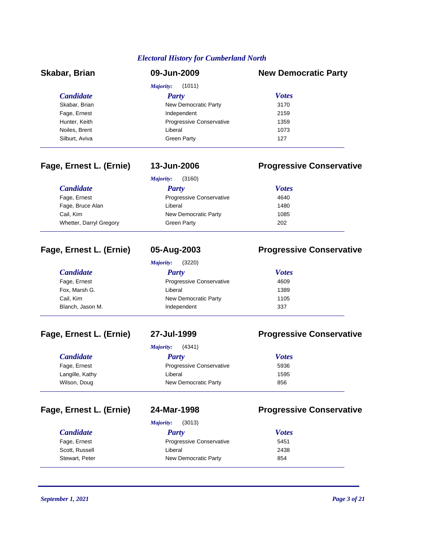| Skabar, Brian    | 09-Jun-2009                     | <b>New Democratic Party</b> |
|------------------|---------------------------------|-----------------------------|
|                  | (1011)<br>Majority:             |                             |
| <i>Candidate</i> | <b>Party</b>                    | <b>Votes</b>                |
| Skabar, Brian    | New Democratic Party            | 3170                        |
| Fage, Ernest     | Independent                     | 2159                        |
| Hunter, Keith    | <b>Progressive Conservative</b> | 1359                        |
| Noiles, Brent    | Liberal                         | 1073                        |
| Silburt, Aviva   | <b>Green Party</b>              | 127                         |

### **Fage, Ernest L. (Ernie) 13-Jun-2006 Progressive Conservative**

|                         | Majority:<br>(3160)      |              |
|-------------------------|--------------------------|--------------|
| <b>Candidate</b>        | Party                    | <b>Votes</b> |
| Fage, Ernest            | Progressive Conservative | 4640         |
| Fage, Bruce Alan        | Liberal                  | 1480         |
| Cail, Kim               | New Democratic Party     | 1085         |
| Whetter, Darryl Gregory | <b>Green Party</b>       | 202          |

# **Fage, Ernest L. (Ernie) 05-Aug-2003 Progressive Conservative**

| <b>Majority:</b> | (3220) |
|------------------|--------|
|                  |        |

### *Candidate Party Votes* Fage, Ernest **Progressive Conservative** 4609 Fox, Marsh G. No. 2006 and Liberal 2006 and the University of the University of the University of the University of the University of the University of the University of the University of the University of the University o Cail, Kim **New Democratic Party** 1105 Blanch, Jason M. **Independent** and *S* and *S* 337

### **Fage, Ernest L. (Ernie) 27-Jul-1999 Progressive Conservative**

|                  | (4341)<br>Majority:             |              |  |
|------------------|---------------------------------|--------------|--|
| <i>Candidate</i> | Party                           | <b>Votes</b> |  |
| Fage, Ernest     | <b>Progressive Conservative</b> | 5936         |  |
| Langille, Kathy  | Liberal                         | 1595         |  |
| Wilson, Doug     | New Democratic Party            | 856          |  |

# **Fage, Ernest L. (Ernie) 24-Mar-1998 Progressive Conservative**

*Majority:* (3013)

| <b>Candidate</b> | Party                           | <b>Votes</b> |  |
|------------------|---------------------------------|--------------|--|
| Fage, Ernest     | <b>Progressive Conservative</b> | 5451         |  |
| Scott, Russell   | Liberal                         | 2438         |  |
| Stewart, Peter   | New Democratic Party            | 854          |  |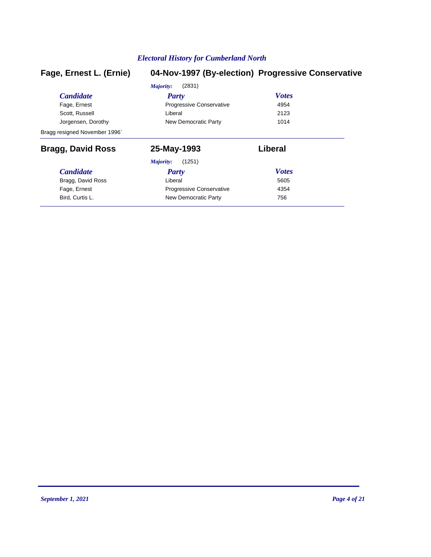| Fage, Ernest L. (Ernie)       |                          | 04-Nov-1997 (By-election) Progressive Conservative |
|-------------------------------|--------------------------|----------------------------------------------------|
|                               | (2831)<br>Majority:      |                                                    |
| <b>Candidate</b>              | <b>Party</b>             | <b>Votes</b>                                       |
| Fage, Ernest                  | Progressive Conservative | 4954                                               |
| Scott, Russell                | Liberal                  | 2123                                               |
| Jorgensen, Dorothy            | New Democratic Party     | 1014                                               |
| Bragg resigned November 1996` |                          |                                                    |
| <b>Bragg, David Ross</b>      | 25-May-1993              | Liberal                                            |
|                               | (1251)<br>Majority:      |                                                    |
| <b>Candidate</b>              | Party                    | <b>Votes</b>                                       |
| Bragg, David Ross             | Liberal                  | 5605                                               |
| Fage, Ernest                  | Progressive Conservative | 4354                                               |
| Bird, Curtis L.               | New Democratic Party     | 756                                                |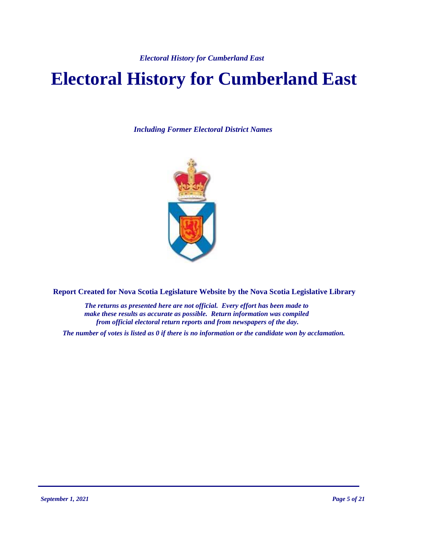# **Electoral History for Cumberland East**

*Including Former Electoral District Names*



**Report Created for Nova Scotia Legislature Website by the Nova Scotia Legislative Library**

*The returns as presented here are not official. Every effort has been made to make these results as accurate as possible. Return information was compiled from official electoral return reports and from newspapers of the day.*

*The number of votes is listed as 0 if there is no information or the candidate won by acclamation.*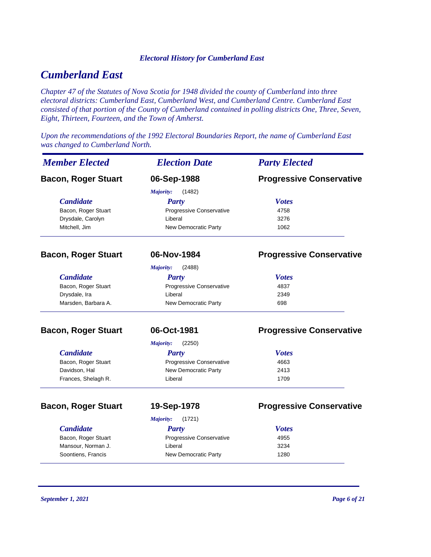# *Cumberland East*

*Chapter 47 of the Statutes of Nova Scotia for 1948 divided the county of Cumberland into three electoral districts: Cumberland East, Cumberland West, and Cumberland Centre. Cumberland East consisted of that portion of the County of Cumberland contained in polling districts One, Three, Seven, Eight, Thirteen, Fourteen, and the Town of Amherst.*

*Upon the recommendations of the 1992 Electoral Boundaries Report, the name of Cumberland East was changed to Cumberland North.*

| <b>Member Elected</b>      | <b>Election Date</b>        | <b>Party Elected</b>            |
|----------------------------|-----------------------------|---------------------------------|
| <b>Bacon, Roger Stuart</b> | 06-Sep-1988                 | <b>Progressive Conservative</b> |
|                            | Majority:<br>(1482)         |                                 |
| <b>Candidate</b>           | <b>Party</b>                | <b>Votes</b>                    |
| Bacon, Roger Stuart        | Progressive Conservative    | 4758                            |
| Drysdale, Carolyn          | Liberal                     | 3276                            |
| Mitchell, Jim              | New Democratic Party        | 1062                            |
| <b>Bacon, Roger Stuart</b> | 06-Nov-1984                 | <b>Progressive Conservative</b> |
|                            | Majority:<br>(2488)         |                                 |
| <b>Candidate</b>           | <b>Party</b>                | <b>Votes</b>                    |
| Bacon, Roger Stuart        | Progressive Conservative    | 4837                            |
| Drysdale, Ira              | Liberal                     | 2349                            |
| Marsden, Barbara A.        | New Democratic Party        | 698                             |
| <b>Bacon, Roger Stuart</b> | 06-Oct-1981                 | <b>Progressive Conservative</b> |
|                            | (2250)<br><b>Majority:</b>  |                                 |
| <b>Candidate</b>           | <b>Party</b>                | <b>Votes</b>                    |
| Bacon, Roger Stuart        | Progressive Conservative    | 4663                            |
| Davidson, Hal              | New Democratic Party        | 2413                            |
| Frances, Shelagh R.        | Liberal                     | 1709                            |
| <b>Bacon, Roger Stuart</b> | 19-Sep-1978                 | <b>Progressive Conservative</b> |
|                            | Majority:<br>(1721)         |                                 |
| <b>Candidate</b>           | <b>Party</b>                | <b>Votes</b>                    |
| Bacon, Roger Stuart        | Progressive Conservative    | 4955                            |
| Mansour, Norman J.         | Liberal                     | 3234                            |
| Soontiens, Francis         | <b>New Democratic Party</b> | 1280                            |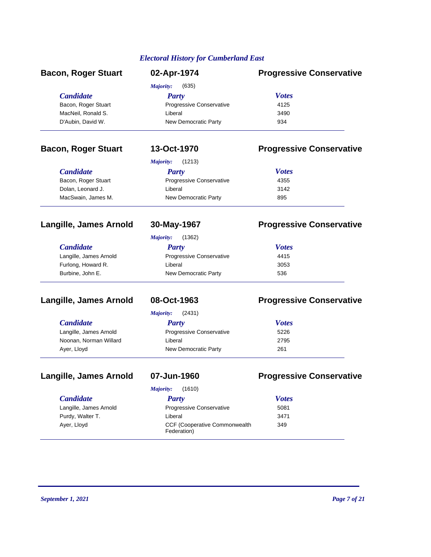| <b>Bacon, Roger Stuart</b> | 02-Apr-1974              | <b>Progressive Conservative</b> |
|----------------------------|--------------------------|---------------------------------|
|                            | (635)<br>Majority:       |                                 |
| <b>Candidate</b>           | <b>Party</b>             | <b>Votes</b>                    |
| Bacon, Roger Stuart        | Progressive Conservative | 4125                            |
| MacNeil, Ronald S.         | Liberal                  | 3490                            |
| D'Aubin, David W.          | New Democratic Party     | 934                             |
| <b>Bacon, Roger Stuart</b> | 13-Oct-1970              | <b>Progressive Conservative</b> |
|                            | (1213)<br>Majority:      |                                 |
| <b>Candidate</b>           | <b>Party</b>             | <b>Votes</b>                    |
| Bacon, Roger Stuart        | Progressive Conservative | 4355                            |
| Dolan, Leonard J.          | Liberal                  | 3142                            |
| MacSwain, James M.         | New Democratic Party     | 895                             |
| Langille, James Arnold     | 30-May-1967              | <b>Progressive Conservative</b> |

| (1362)<br>Majority:             |              |
|---------------------------------|--------------|
| Party                           | <b>Votes</b> |
| <b>Progressive Conservative</b> | 4415         |
| Liberal                         | 3053         |
| New Democratic Party            | 536          |
|                                 |              |

# **Langille, James Arnold 08-Oct-1963 Progressive Conservative**

Langille, James Arnold Noonan, Norman Willard

 $C$ *andidate* 

Ayer, Lloyd

| <b>Majority:</b> | (2431) |
|------------------|--------|
|                  |        |

| Party                           | <b>Votes</b> |
|---------------------------------|--------------|
| <b>Progressive Conservative</b> | 5226         |
| Liberal                         | 2795         |
| New Democratic Party            | 261          |

# **Langille, James Arnold 07-Jun-1960 Progressive Conservative**

Langille, James Arnold Purdy, Walter T.

*Majority:* (1610)

| <b>Party</b>                                         | <b>Votes</b> |
|------------------------------------------------------|--------------|
| <b>Progressive Conservative</b>                      | 5081         |
| Liberal                                              | 3471         |
| <b>CCF (Cooperative Commonwealth)</b><br>Federation) | 349          |

Ayer, Lloyd

 $C$ *andidate*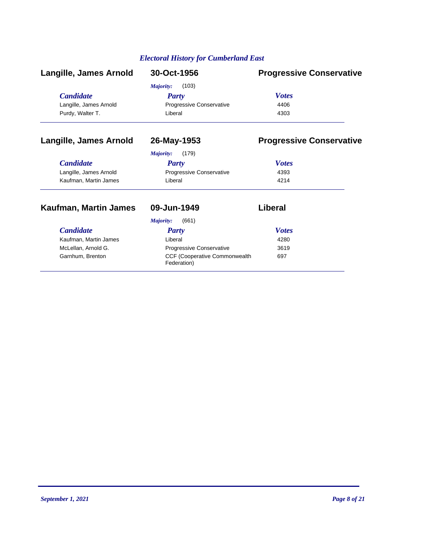| 30-Oct-1956              | <b>Progressive Conservative</b> |
|--------------------------|---------------------------------|
| (103)<br>Majority:       |                                 |
| Party                    | <b>Votes</b>                    |
| Progressive Conservative | 4406                            |
| Liberal                  | 4303                            |
|                          |                                 |

### **Langille, James Arnold 26-May-1953 Progressive Conservative**

### *Majority:* (179)

| <b>Candidate</b>       | Party                           | <b>Votes</b> |
|------------------------|---------------------------------|--------------|
| Langille, James Arnold | <b>Progressive Conservative</b> | 4393         |
| Kaufman, Martin James  | Liberal                         | 4214         |

# **Kaufman, Martin James 09-Jun-1949 Liberal**

| <i>Candidate</i>      | <b>Party</b>                                         | <b>Votes</b> |
|-----------------------|------------------------------------------------------|--------------|
| Kaufman, Martin James | Liberal                                              | 4280         |
| McLellan, Arnold G.   | <b>Progressive Conservative</b>                      | 3619         |
| Garnhum, Brenton      | <b>CCF (Cooperative Commonwealth)</b><br>Federation) | 697          |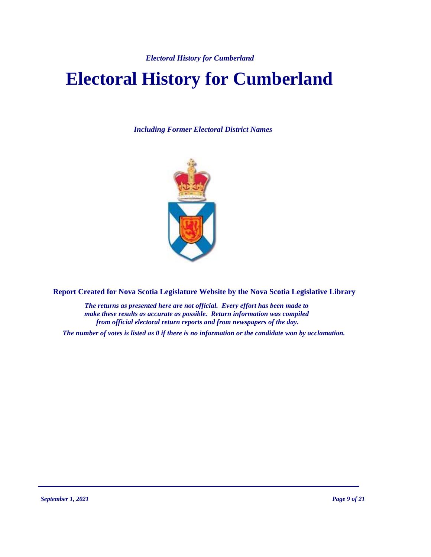# **Electoral History for Cumberland**

*Including Former Electoral District Names*



**Report Created for Nova Scotia Legislature Website by the Nova Scotia Legislative Library**

*The returns as presented here are not official. Every effort has been made to make these results as accurate as possible. Return information was compiled from official electoral return reports and from newspapers of the day.*

*The number of votes is listed as 0 if there is no information or the candidate won by acclamation.*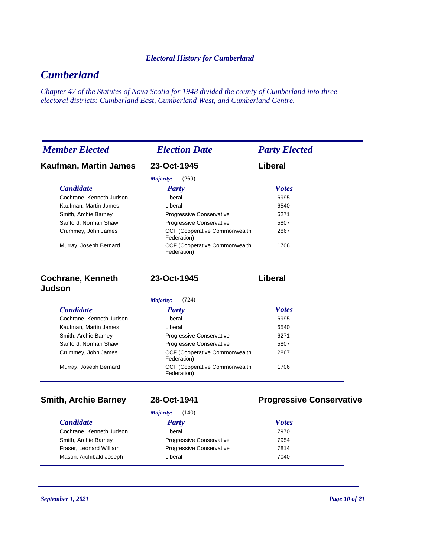# *Cumberland*

*Chapter 47 of the Statutes of Nova Scotia for 1948 divided the county of Cumberland into three electoral districts: Cumberland East, Cumberland West, and Cumberland Centre.*

| <b>Member Elected</b>    | <b>Election Date</b>                                 | <b>Party Elected</b> |
|--------------------------|------------------------------------------------------|----------------------|
| Kaufman, Martin James    | 23-Oct-1945                                          | Liberal              |
|                          | Majority:<br>(269)                                   |                      |
| <b>Candidate</b>         | Party                                                | <b>Votes</b>         |
| Cochrane. Kenneth Judson | Liberal                                              | 6995                 |
| Kaufman, Martin James    | Liberal                                              | 6540                 |
| Smith, Archie Barney     | <b>Progressive Conservative</b>                      | 6271                 |
| Sanford, Norman Shaw     | <b>Progressive Conservative</b>                      | 5807                 |
| Crummey, John James      | <b>CCF (Cooperative Commonwealth</b><br>Federation)  | 2867                 |
| Murray, Joseph Bernard   | <b>CCF (Cooperative Commonwealth)</b><br>Federation) | 1706                 |

| <b>Cochrane, Kenneth</b> | 23-Oct-1945            |
|--------------------------|------------------------|
| Judson                   |                        |
|                          | <i>Majority:</i> (724) |

| Party                                                | <b>Votes</b> |  |
|------------------------------------------------------|--------------|--|
| Liberal                                              | 6995         |  |
| Liberal                                              | 6540         |  |
| Progressive Conservative                             | 6271         |  |
| Progressive Conservative                             | 5807         |  |
| <b>CCF (Cooperative Commonwealth)</b><br>Federation) | 2867         |  |
| <b>CCF (Cooperative Commonwealth)</b><br>Federation) | 1706         |  |
|                                                      |              |  |

### $C$ *andidate*

Cochrane, Kenneth Smith, Archie Barne Fraser, Leonard Wi Mason, Archibald J

### **Smith, Archie Barney 28-Oct-1941 Progressive Conservative**

**23-Oct-1945 Liberal**

|          | Majority:    | (140)                    |              |  |
|----------|--------------|--------------------------|--------------|--|
|          | <b>Party</b> |                          | <b>Votes</b> |  |
| ı Judson | Liberal      |                          | 7970         |  |
| ev       |              | Progressive Conservative | 7954         |  |
| illiam   |              | Progressive Conservative | 7814         |  |
| loseph   | Liberal      |                          | 7040         |  |
|          |              |                          |              |  |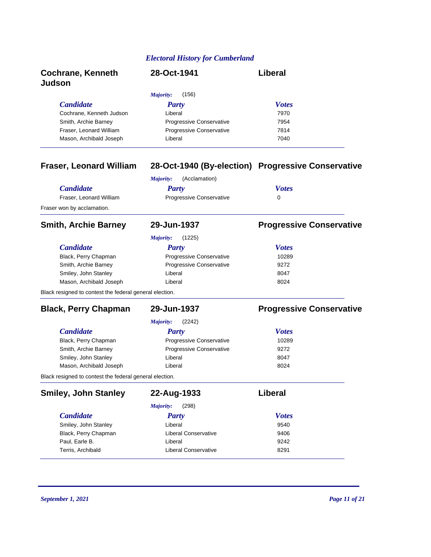| <b>Cochrane, Kenneth</b><br><b>Judson</b> | 28-Oct-1941                     | Liberal      |
|-------------------------------------------|---------------------------------|--------------|
|                                           | (156)<br>Majority:              |              |
| <b>Candidate</b>                          | <b>Party</b>                    | <b>Votes</b> |
| Cochrane, Kenneth Judson                  | Liberal                         | 7970         |
| Smith, Archie Barney                      | <b>Progressive Conservative</b> | 7954         |
| Fraser, Leonard William                   | <b>Progressive Conservative</b> | 7814         |
| Mason, Archibald Joseph                   | Liberal                         | 7040         |

# **Fraser, Leonard William 28-Oct-1940 (By-election) Progressive Conservative**

|                                                         | (Acclamation)<br>Majority: |                                 |
|---------------------------------------------------------|----------------------------|---------------------------------|
| <b>Candidate</b>                                        | <b>Party</b>               | <b>Votes</b>                    |
| Fraser, Leonard William                                 | Progressive Conservative   | 0                               |
| Fraser won by acclamation.                              |                            |                                 |
| <b>Smith, Archie Barney</b>                             | 29-Jun-1937                | <b>Progressive Conservative</b> |
|                                                         | (1225)<br>Majority:        |                                 |
| <b>Candidate</b>                                        | Party                      | <b>Votes</b>                    |
| Black, Perry Chapman                                    | Progressive Conservative   | 10289                           |
| Smith, Archie Barney                                    | Progressive Conservative   | 9272                            |
| Smiley, John Stanley                                    | Liberal                    | 8047                            |
| Mason, Archibald Joseph                                 | Liberal                    | 8024                            |
| Black resigned to contest the federal general election. |                            |                                 |
| <b>Black, Perry Chapman</b>                             | 29-Jun-1937                | <b>Progressive Conservative</b> |
|                                                         | (2242)<br>Majority:        |                                 |
| <b>Candidate</b>                                        | Party                      | <b>Votes</b>                    |
| Black, Perry Chapman                                    | Progressive Conservative   | 10289                           |
| Smith, Archie Barney                                    | Progressive Conservative   | 9272                            |
| Smiley, John Stanley                                    | Liberal                    | 8047                            |
| Mason, Archibald Joseph                                 | Liberal                    | 8024                            |
| Black resigned to contest the federal general election. |                            |                                 |
| <b>Smiley, John Stanley</b>                             | 22-Aug-1933                | Liberal                         |
|                                                         | (298)<br>Majority:         |                                 |

| <i>Candidate</i>     | <b>Party</b>         | <b>Votes</b> |
|----------------------|----------------------|--------------|
| Smiley, John Stanley | Liberal              | 9540         |
| Black, Perry Chapman | Liberal Conservative | 9406         |
| Paul, Earle B.       | Liberal              | 9242         |
| Terris, Archibald    | Liberal Conservative | 8291         |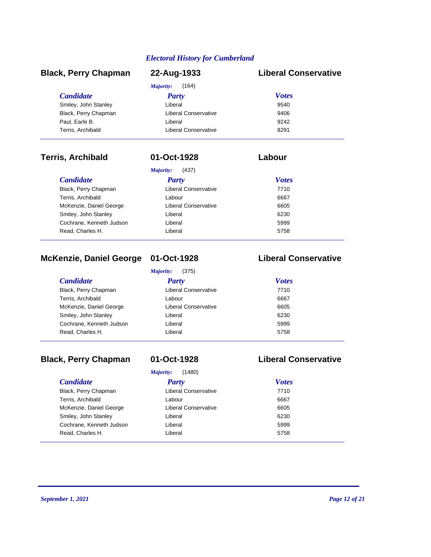### *Candidate Party Votes* **Black, Perry Chapman 22-Aug-1933 Liberal Conservative** *Majority:* (164) Smiley, John Stanley **Construction Construction Construction** University of the University of the University of the University of the University of the University of the University of the University of the University of th Black, Perry Chapman **Example 2406** Liberal Conservative **18406** Paul, Earle B. 68 (1992) 2024 12: Eiberal 1924 21: 1924 21: 1924 21: 1924 21: 1924 21: 1924 21: 1924 21: 1924 21: 1924 21: 1924 21: 1924 21: 1926 1927 21: 1926 1927 21: 1926 1927 21: 1927 21: 1927 21: 1927 21: 1927 21: 192 Terris, Archibald Liberal Conservative 8291

### **Terris, Archibald 01-Oct-1928 Labour**

| (437)<br>Majority:          |              |  |  |
|-----------------------------|--------------|--|--|
| Party                       | <b>Votes</b> |  |  |
| <b>Liberal Conservative</b> | 7710         |  |  |
| Labour                      | 6667         |  |  |
| <b>Liberal Conservative</b> | 6605         |  |  |
| Liberal                     | 6230         |  |  |
| Liberal                     | 5999         |  |  |
| Liberal                     | 5758         |  |  |
|                             |              |  |  |

## **McKenzie, Daniel George 01-Oct-1928 Liberal Conservative**

|                          | (375)<br>Majority:   |              |
|--------------------------|----------------------|--------------|
| <i>Candidate</i>         | Party                | <b>Votes</b> |
| Black, Perry Chapman     | Liberal Conservative | 7710         |
| Terris, Archibald        | Labour               | 6667         |
| McKenzie, Daniel George  | Liberal Conservative | 6605         |
| Smiley, John Stanley     | Liberal              | 6230         |
| Cochrane, Kenneth Judson | Liberal              | 5999         |
| Read, Charles H.         | Liberal              | 5758         |

## **Black, Perry Chapman 01-Oct-1928 Liberal Conservative**

*Majority:* (1480)

| Majority:<br>(1480)      |                      |              |  |  |
|--------------------------|----------------------|--------------|--|--|
| <b>Candidate</b>         | <b>Party</b>         | <b>Votes</b> |  |  |
| Black, Perry Chapman     | Liberal Conservative | 7710         |  |  |
| Terris, Archibald        | Labour               | 6667         |  |  |
| McKenzie, Daniel George  | Liberal Conservative | 6605         |  |  |
| Smiley, John Stanley     | Liberal              | 6230         |  |  |
| Cochrane, Kenneth Judson | Liberal              | 5999         |  |  |
| Read, Charles H.         | Liberal              | 5758         |  |  |
|                          |                      |              |  |  |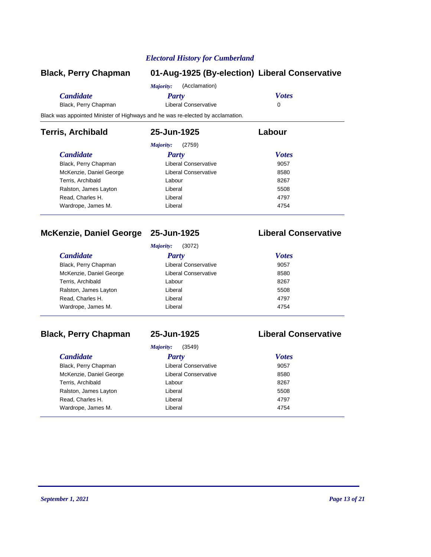| <b>Black, Perry Chapman</b>                                                    |                            | 01-Aug-1925 (By-election) Liberal Conservative |
|--------------------------------------------------------------------------------|----------------------------|------------------------------------------------|
|                                                                                | (Acclamation)<br>Majority: |                                                |
| <b>Candidate</b>                                                               | Party                      | <b>Votes</b>                                   |
| Black, Perry Chapman                                                           | Liberal Conservative       | 0                                              |
| Black was appointed Minister of Highways and he was re-elected by acclamation. |                            |                                                |
| <b>Terris, Archibald</b>                                                       | 25-Jun-1925                | Labour                                         |
|                                                                                | (2759)<br>Majority:        |                                                |
| <b>Candidate</b>                                                               | Party                      | <b>Votes</b>                                   |
| Black, Perry Chapman                                                           | Liberal Conservative       | 9057                                           |
| McKenzie, Daniel George                                                        | Liberal Conservative       | 8580                                           |
| Terris, Archibald                                                              | Labour                     | 8267                                           |
| Ralston, James Layton                                                          | Liberal                    | 5508                                           |

### **McKenzie, Daniel George 25-Jun-1925 Liberal Conservative**

*Majority:* (3072)

Read, Charles H. Andrea Charles H. Andrea Liberal 4797 Wardrope, James M. Christian Liberal Christian Liberal 4754

| <i>Candidate</i>        | <b>Party</b>         | <b>Votes</b> |
|-------------------------|----------------------|--------------|
| Black, Perry Chapman    | Liberal Conservative | 9057         |
| McKenzie, Daniel George | Liberal Conservative | 8580         |
| Terris, Archibald       | Labour               | 8267         |
| Ralston, James Layton   | Liberal              | 5508         |
| Read, Charles H.        | Liberal              | 4797         |
| Wardrope, James M.      | Liberal              | 4754         |

### **Black, Perry Chapman 25-Jun-1925 Liberal Conservative**

### *Candidate Party Votes Majority:* (3549) Black, Perry Chapman **Example 2008** Liberal Conservative **19057** McKenzie, Daniel George **Liberal Conservative** 8580 Terris, Archibald **Calculation Control Control Control Control Control Control Control Control Control Control Control Control Control Control Control Control Control Control Control Control Control Control Control Control** Ralston, James Layton **Example 20 Liberal** Controller and the state of the state of the state of the state of the state of the state of the state of the state of the state of the state of the state of the state of the stat Read, Charles H. New York Charles H. Albert Liberal 4797 Wardrope, James M. Charles Contract Liberal Article 194754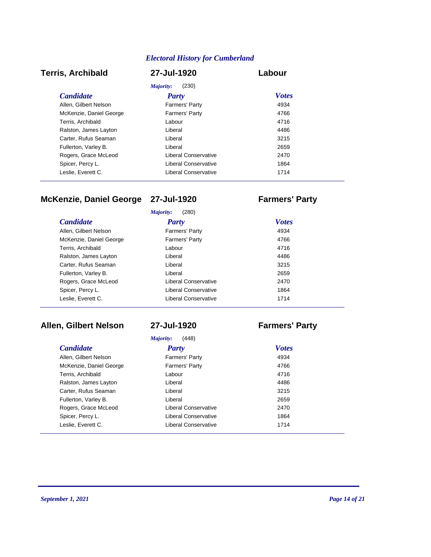### **Terris, Archibald 27-Jul-1920 Labour**

### *Candidate Party Votes Majority:* (230) Allen, Gilbert Nelson **Farmers' Party** Farmers' Party 4934 McKenzie, Daniel George **Farmers' Party 1998** Farmers' Party Terris, Archibald **1716** Labour **1716** Ralston, James Layton **Liberal** Communication Communication and the extent of the 4486 Carter, Rufus Seaman **Carter**, Rufus Seaman **Liberal** 2215 Fullerton, Varley B. Liberal 2659 Rogers, Grace McLeod **Liberal Conservative** 2470 Spicer, Percy L. **Example 20** Liberal Conservative **1864** Leslie, Everett C. The Conservative Liberal Conservative 1714

### **McKenzie, Daniel George 27-Jul-1920 Farmers' Party**

|                         | Majority:<br>(280)    |              |  |
|-------------------------|-----------------------|--------------|--|
| <b>Candidate</b>        | Party                 | <b>Votes</b> |  |
| Allen, Gilbert Nelson   | Farmers' Party        | 4934         |  |
| McKenzie, Daniel George | <b>Farmers' Party</b> | 4766         |  |
| Terris, Archibald       | Labour                | 4716         |  |
| Ralston, James Layton   | Liberal               | 4486         |  |
| Carter, Rufus Seaman    | Liberal               | 3215         |  |
| Fullerton, Varley B.    | Liberal               | 2659         |  |
| Rogers, Grace McLeod    | Liberal Conservative  | 2470         |  |
| Spicer, Percy L.        | Liberal Conservative  | 1864         |  |
| Leslie, Everett C.      | Liberal Conservative  | 1714         |  |
|                         |                       |              |  |

### **Allen, Gilbert Nelson 27-Jul-1920 Farmers' Party**

### *Candidate Party Votes Majority:* (448) Allen, Gilbert Nelson **Farmers' Party** Farmers' Party 4934 McKenzie, Daniel George **Farmers' Party 1998** Farmers' Party Terris, Archibald **Labour** Labour 4716 Ralston, James Layton **Liberal** Liberal **1486** Carter, Rufus Seaman **Carter**, Rufus Seaman **Liberal** 2215 Fullerton, Varley B. Liberal 2659 Rogers, Grace McLeod **Liberal Conservative** 2470 Spicer, Percy L. **Example 20** Liberal Conservative 1864 Leslie, Everett C. The Conservative Liberal Conservative 1714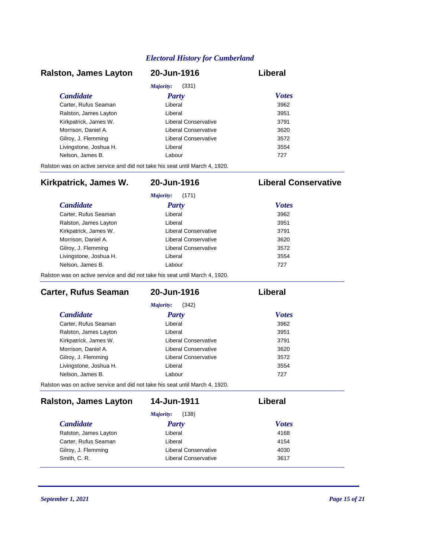### *Candidate Party Votes* **Ralston, James Layton 20-Jun-1916 Liberal** *Majority:* (331) Carter, Rufus Seaman Liberal 3962 Ralston, James Layton **Liberal** Communication Communication 3951 Kirkpatrick, James W. Liberal Conservative 3791 Morrison, Daniel A. Liberal Conservative 3620 Gilroy, J. Flemming **Example 26 Except** Liberal Conservative 3572 Livingstone, Joshua H. Liberal 3554 Nelson, James B. Cabour Cabour Cabour 227

Ralston was on active service and did not take his seat until March 4, 1920.

### **Kirkpatrick, James W. 20-Jun-1916 Liberal Conservative**

| Majority:<br>(171)     |                      |              |  |
|------------------------|----------------------|--------------|--|
| <b>Candidate</b>       | <b>Party</b>         | <b>Votes</b> |  |
| Carter, Rufus Seaman   | Liberal              | 3962         |  |
| Ralston, James Layton  | Liberal              | 3951         |  |
| Kirkpatrick, James W.  | Liberal Conservative | 3791         |  |
| Morrison, Daniel A.    | Liberal Conservative | 3620         |  |
| Gilroy, J. Flemming    | Liberal Conservative | 3572         |  |
| Livingstone, Joshua H. | Liberal              | 3554         |  |
| Nelson, James B.       | Labour               | 727          |  |

Ralston was on active service and did not take his seat until March 4, 1920.

| Carter, Rufus Seaman                                                         | 20-Jun-1916          | Liberal      |  |
|------------------------------------------------------------------------------|----------------------|--------------|--|
|                                                                              | (342)<br>Majority:   |              |  |
| <b>Candidate</b>                                                             | Party                | <b>Votes</b> |  |
| Carter, Rufus Seaman                                                         | Liberal              | 3962         |  |
| Ralston, James Layton                                                        | Liberal              | 3951         |  |
| Kirkpatrick, James W.                                                        | Liberal Conservative | 3791         |  |
| Morrison, Daniel A.                                                          | Liberal Conservative | 3620         |  |
| Gilroy, J. Flemming                                                          | Liberal Conservative | 3572         |  |
| Livingstone, Joshua H.                                                       | Liberal              | 3554         |  |
| Nelson, James B.                                                             | Labour               | 727          |  |
| Ralston was on active service and did not take his seat until March 4, 1920. |                      |              |  |

### *Candidate Party Votes* **Ralston, James Layton 14-Jun-1911 Liberal** *Majority:* (138) Ralston, James Layton **Liberal** Liberal **1168** Carter, Rufus Seaman Liberal 4154 Gilroy, J. Flemming **Example 2018** Liberal Conservative **1030** Smith, C. R. **Smith, C. R. Example 2617 Liberal Conservative 3617**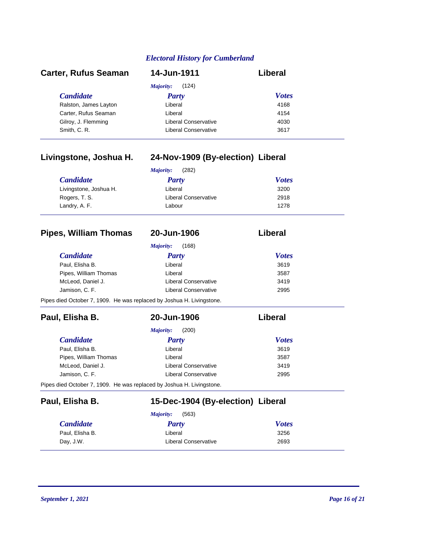| <b>Carter, Rufus Seaman</b> | 14-Jun-1911          | Liberal      |  |
|-----------------------------|----------------------|--------------|--|
|                             | (124)<br>Majority:   |              |  |
| <b>Candidate</b>            | Party                | <b>Votes</b> |  |
| Ralston, James Layton       | Liberal              | 4168         |  |
| Carter, Rufus Seaman        | Liberal              | 4154         |  |
| Gilroy, J. Flemming         | Liberal Conservative | 4030         |  |
| Smith, C. R.                | Liberal Conservative | 3617         |  |

### **Livingstone, Joshua H. 24-Nov-1909 (By-election) Liberal**

| (282)<br>Majority:     |                      |              |  |
|------------------------|----------------------|--------------|--|
| <b>Candidate</b>       | <b>Party</b>         | <b>Votes</b> |  |
| Livingstone, Joshua H. | Liberal              | 3200         |  |
| Rogers, T. S.          | Liberal Conservative | 2918         |  |
| Landry, A. F.          | Labour               | 1278         |  |

### **Pipes, William Thomas 20-Jun-1906 Liberal**

|  | LU VUII I JUV |  |  |  |
|--|---------------|--|--|--|
|  |               |  |  |  |
|  |               |  |  |  |

|                                                                       | (168)<br>Majority:          |              |
|-----------------------------------------------------------------------|-----------------------------|--------------|
| <i>Candidate</i>                                                      | <b>Party</b>                | <b>Votes</b> |
| Paul. Elisha B.                                                       | Liberal                     | 3619         |
| Pipes, William Thomas                                                 | Liberal                     | 3587         |
| McLeod. Daniel J.                                                     | <b>Liberal Conservative</b> | 3419         |
| Jamison, C. F.                                                        | <b>Liberal Conservative</b> | 2995         |
| Pipes died October 7, 1909. He was replaced by Joshua H. Livingstone. |                             |              |

| Paul, Elisha B.                                                       | 20-Jun-1906          | Liberal      |
|-----------------------------------------------------------------------|----------------------|--------------|
|                                                                       | (200)<br>Majority:   |              |
| <b>Candidate</b>                                                      | Party                | <b>Votes</b> |
| Paul, Elisha B.                                                       | Liberal              | 3619         |
| Pipes, William Thomas                                                 | Liberal              | 3587         |
| McLeod, Daniel J.                                                     | Liberal Conservative | 3419         |
| Jamison, C. F.                                                        | Liberal Conservative | 2995         |
| Pipes died October 7, 1909. He was replaced by Joshua H. Livingstone. |                      |              |

### **Paul, Elisha B. 15-Dec-1904 (By-election) Liberal**

|                  | (563)<br>Majority:   |              |
|------------------|----------------------|--------------|
| <b>Candidate</b> | Party                | <b>Votes</b> |
| Paul, Elisha B.  | Liberal              | 3256         |
| Day, J.W.        | Liberal Conservative | 2693         |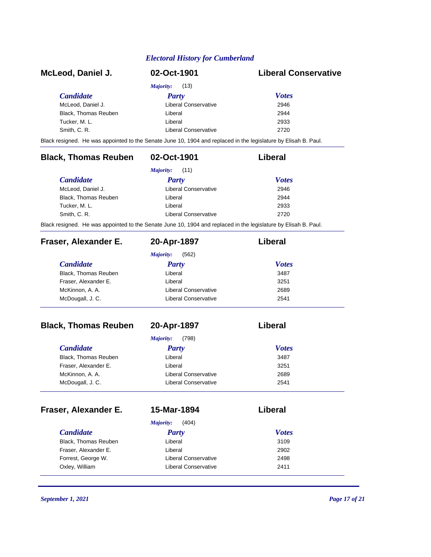| McLeod, Daniel J.                                                                                               | 02-Oct-1901                 | <b>Liberal Conservative</b> |
|-----------------------------------------------------------------------------------------------------------------|-----------------------------|-----------------------------|
|                                                                                                                 | <b>Majority:</b><br>(13)    |                             |
| <b>Candidate</b>                                                                                                | <b>Party</b>                | <b>Votes</b>                |
| McLeod, Daniel J.                                                                                               | <b>Liberal Conservative</b> | 2946                        |
| Black, Thomas Reuben                                                                                            | Liberal                     | 2944                        |
| Tucker, M. L.                                                                                                   | Liberal                     | 2933                        |
| Smith, C. R.                                                                                                    | <b>Liberal Conservative</b> | 2720                        |
| Black resigned. He was appointed to the Senate June 10, 1904 and replaced in the legislature by Elisah B. Paul. |                             |                             |
| <b>Black, Thomas Reuben</b>                                                                                     | 02-Oct-1901                 | Liberal                     |
|                                                                                                                 | Majority:<br>(11)           |                             |
| <b>Candidate</b>                                                                                                | <b>Party</b>                | <b>Votes</b>                |
| McLeod, Daniel J.                                                                                               | <b>Liberal Conservative</b> | 2946                        |
| Black, Thomas Reuben                                                                                            | Liberal                     | 2944                        |
| Tucker, M. L.                                                                                                   | Liberal                     | 2933                        |
| Smith, C. R.                                                                                                    | <b>Liberal Conservative</b> | 2720                        |
| Black resigned. He was appointed to the Senate June 10, 1904 and replaced in the legislature by Elisah B. Paul. |                             |                             |
| Fraser, Alexander E.                                                                                            | 20-Apr-1897                 | Liberal                     |
|                                                                                                                 | <b>Majority:</b><br>(562)   |                             |
| <b>Candidate</b>                                                                                                | <b>Party</b>                | <b>Votes</b>                |
| Black, Thomas Reuben                                                                                            | Liberal                     | 3487                        |
| Fraser, Alexander E.                                                                                            | Liberal                     | 3251                        |
| McKinnon, A. A.                                                                                                 | Liberal Conservative        | 2689                        |
| McDougall, J. C.                                                                                                | <b>Liberal Conservative</b> | 2541                        |
|                                                                                                                 |                             | Liberal                     |
| <b>Black, Thomas Reuben</b>                                                                                     | 20-Apr-1897                 |                             |
|                                                                                                                 | Majority:<br>(798)          |                             |
| <b>Candidate</b>                                                                                                | <b>Party</b>                | <b>Votes</b>                |
| Black, Thomas Reuben                                                                                            | Liberal                     | 3487                        |
| Fraser, Alexander E.                                                                                            | Liberal                     | 3251                        |
| McKinnon, A. A.                                                                                                 | Liberal Conservative        | 2689                        |
| McDougall, J. C.                                                                                                | <b>Liberal Conservative</b> | 2541                        |
|                                                                                                                 |                             |                             |
| Fraser, Alexander E.                                                                                            | 15-Mar-1894                 | Liberal                     |
|                                                                                                                 | Majority:<br>(404)          |                             |
| <b>Candidate</b>                                                                                                | <b>Party</b>                | <b>Votes</b>                |
| Black, Thomas Reuben                                                                                            | Liberal                     | 3109                        |
| Fraser, Alexander E.                                                                                            | Liberal                     | 2902                        |
| Forrest, George W.                                                                                              | <b>Liberal Conservative</b> | 2498                        |
| Oxley, William                                                                                                  | <b>Liberal Conservative</b> | 2411                        |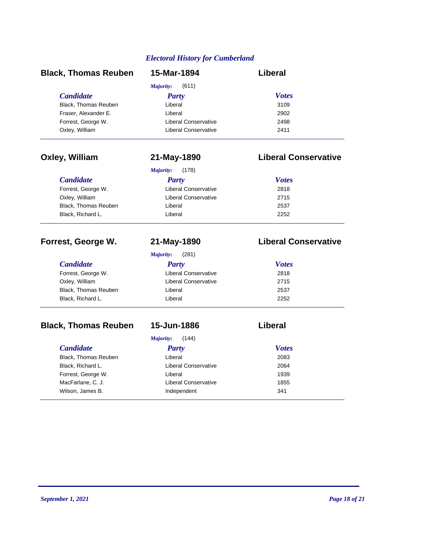| <b>Black, Thomas Reuben</b> | 15-Mar-1894                       | <b>Liberal</b>              |  |
|-----------------------------|-----------------------------------|-----------------------------|--|
|                             | (611)<br><b>Majority:</b>         |                             |  |
| <b>Candidate</b>            | <b>Party</b>                      | <b>Votes</b>                |  |
| Black, Thomas Reuben        | Liberal                           | 3109                        |  |
| Fraser, Alexander E.        | Liberal                           | 2902                        |  |
| Forrest, George W.          | <b>Liberal Conservative</b>       | 2498                        |  |
| Oxley, William              | <b>Liberal Conservative</b>       | 2411                        |  |
| Oxley, William              | 21-May-1890                       | <b>Liberal Conservative</b> |  |
|                             | Majority:<br>(178)                |                             |  |
| <b>Candidate</b>            | <b>Party</b>                      | <b>Votes</b>                |  |
| Forrest, George W.          | <b>Liberal Conservative</b>       | 2818                        |  |
| Oxley, William              | <b>Liberal Conservative</b>       | 2715                        |  |
| Black, Thomas Reuben        | Liberal                           | 2537                        |  |
| Black, Richard L.           | Liberal                           | 2252                        |  |
| Forrest, George W.          | 21-May-1890<br>Majority:<br>(281) | <b>Liberal Conservative</b> |  |
| <b>Candidate</b>            | <b>Party</b>                      | <b>Votes</b>                |  |
| Forrest, George W.          | <b>Liberal Conservative</b>       | 2818                        |  |
| Oxley, William              | <b>Liberal Conservative</b>       | 2715                        |  |
| <b>Black, Thomas Reuben</b> | Liberal                           | 2537                        |  |
| Black, Richard L.           | Liberal                           | 2252                        |  |
| <b>Black, Thomas Reuben</b> | 15-Jun-1886                       | Liberal                     |  |
|                             |                                   |                             |  |
|                             | (144)<br>Majority:                |                             |  |
| <b>Candidate</b>            | <b>Party</b>                      | <b>Votes</b>                |  |
| Black, Thomas Reuben        | Liberal                           | 2083                        |  |
| Black, Richard L.           | <b>Liberal Conservative</b>       | 2064                        |  |
| Forrest, George W.          | Liberal                           | 1939                        |  |
| MacFarlane, C. J.           | <b>Liberal Conservative</b>       | 1855                        |  |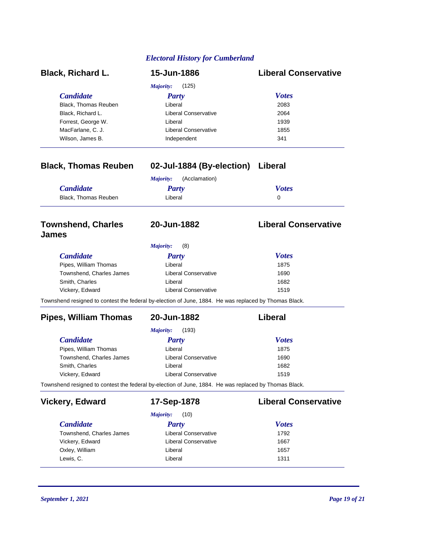| <b>Black, Richard L.</b>                  | 15-Jun-1886                                                                                           | <b>Liberal Conservative</b> |
|-------------------------------------------|-------------------------------------------------------------------------------------------------------|-----------------------------|
|                                           | <b>Majority:</b><br>(125)                                                                             |                             |
| <b>Candidate</b>                          | <b>Party</b>                                                                                          | <b>Votes</b>                |
| <b>Black, Thomas Reuben</b>               | Liberal                                                                                               | 2083                        |
| Black, Richard L.                         | <b>Liberal Conservative</b>                                                                           | 2064                        |
| Forrest, George W.                        | Liberal                                                                                               | 1939                        |
| MacFarlane, C. J.                         | <b>Liberal Conservative</b>                                                                           | 1855                        |
| Wilson, James B.                          | Independent                                                                                           | 341                         |
| <b>Black, Thomas Reuben</b>               | 02-Jul-1884 (By-election) Liberal                                                                     |                             |
|                                           | (Acclamation)<br>Majority:                                                                            |                             |
| <b>Candidate</b>                          | <b>Party</b>                                                                                          | <b>Votes</b>                |
| Black, Thomas Reuben                      | Liberal                                                                                               | 0                           |
| <b>Townshend, Charles</b><br><b>James</b> | 20-Jun-1882                                                                                           | <b>Liberal Conservative</b> |
|                                           | <b>Majority:</b><br>(8)                                                                               |                             |
| <b>Candidate</b>                          | <b>Party</b>                                                                                          | <b>Votes</b>                |
| Pipes, William Thomas                     | Liberal                                                                                               | 1875                        |
| Townshend, Charles James                  | <b>Liberal Conservative</b>                                                                           | 1690                        |
| Smith, Charles                            | Liberal                                                                                               | 1682                        |
| Vickery, Edward                           | <b>Liberal Conservative</b>                                                                           | 1519                        |
|                                           | Townshend resigned to contest the federal by-election of June, 1884. He was replaced by Thomas Black. |                             |
| <b>Pipes, William Thomas</b>              | 20-Jun-1882                                                                                           | Liberal                     |
|                                           | <b>Majority:</b><br>(193)                                                                             |                             |
| <b>Candidate</b>                          | <b>Party</b>                                                                                          | <b>Votes</b>                |
| Pipes, William Thomas                     | Liberal                                                                                               | 1875                        |
| Townshend, Charles James                  | <b>Liberal Conservative</b>                                                                           | 1690                        |
| Smith, Charles                            | Liberal                                                                                               | 1682                        |
| Vickery, Edward                           | <b>Liberal Conservative</b>                                                                           | 1519                        |
|                                           | Townshend resigned to contest the federal by-election of June, 1884. He was replaced by Thomas Black. |                             |
| <b>Vickery, Edward</b>                    | 17-Sep-1878                                                                                           | <b>Liberal Conservative</b> |
|                                           | <b>Majority:</b><br>(10)                                                                              |                             |
| <b>Candidate</b>                          | <b>Party</b>                                                                                          | <b>Votes</b>                |
| Townshend, Charles James                  | <b>Liberal Conservative</b>                                                                           | 1792                        |
| Vickery, Edward                           | <b>Liberal Conservative</b>                                                                           | 1667                        |
| Oxley, William                            | Liberal                                                                                               | 1657                        |
| Lewis, C.                                 | Liberal                                                                                               | 1311                        |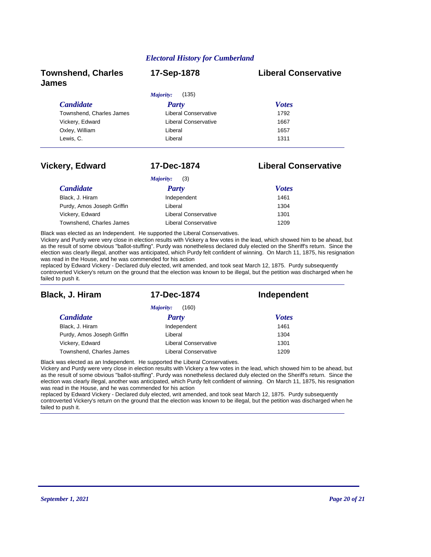| <b>Townshend, Charles</b><br><b>James</b> | 17-Sep-1878          | <b>Liberal Conservative</b> |
|-------------------------------------------|----------------------|-----------------------------|
|                                           | (135)<br>Majority:   |                             |
| <b>Candidate</b>                          | Party                | <b>Votes</b>                |
| Townshend, Charles James                  | Liberal Conservative | 1792                        |
| Vickery, Edward                           | Liberal Conservative | 1667                        |
| Oxley, William                            | Liberal              | 1657                        |
| Lewis, C.                                 | Liberal              | 1311                        |

### **Vickery, Edward 17-Dec-1874 Liberal Conservative**

| (3)<br>Majority:           |                             |              |
|----------------------------|-----------------------------|--------------|
| <i>Candidate</i>           | Party                       | <b>Votes</b> |
| Black, J. Hiram            | Independent                 | 1461         |
| Purdy, Amos Joseph Griffin | Liberal                     | 1304         |
| Vickery, Edward            | <b>Liberal Conservative</b> | 1301         |
| Townshend, Charles James   | Liberal Conservative        | 1209         |

Black was elected as an Independent. He supported the Liberal Conservatives.

Vickery and Purdy were very close in election results with Vickery a few votes in the lead, which showed him to be ahead, but as the result of some obvious "ballot-stuffing". Purdy was nonetheless declared duly elected on the Sheriff's return. Since the election was clearly illegal, another was anticipated, which Purdy felt confident of winning. On March 11, 1875, his resignation was read in the House, and he was commended for his action

replaced by Edward Vickery - Declared duly elected, writ amended, and took seat March 12, 1875. Purdy subsequently controverted Vickery's return on the ground that the election was known to be illegal, but the petition was discharged when he failed to push it.

| Black, J. Hiram            | 17-Dec-1874                 | Independent  |
|----------------------------|-----------------------------|--------------|
|                            | (160)<br>Majority:          |              |
| <b>Candidate</b>           | <b>Party</b>                | <b>Votes</b> |
| Black, J. Hiram            | Independent                 | 1461         |
| Purdy, Amos Joseph Griffin | Liberal                     | 1304         |
| Vickery, Edward            | <b>Liberal Conservative</b> | 1301         |
| Townshend, Charles James   | Liberal Conservative        | 1209         |

Black was elected as an Independent. He supported the Liberal Conservatives.

Vickery and Purdy were very close in election results with Vickery a few votes in the lead, which showed him to be ahead, but as the result of some obvious "ballot-stuffing". Purdy was nonetheless declared duly elected on the Sheriff's return. Since the election was clearly illegal, another was anticipated, which Purdy felt confident of winning. On March 11, 1875, his resignation was read in the House, and he was commended for his action

replaced by Edward Vickery - Declared duly elected, writ amended, and took seat March 12, 1875. Purdy subsequently controverted Vickery's return on the ground that the election was known to be illegal, but the petition was discharged when he failed to push it.